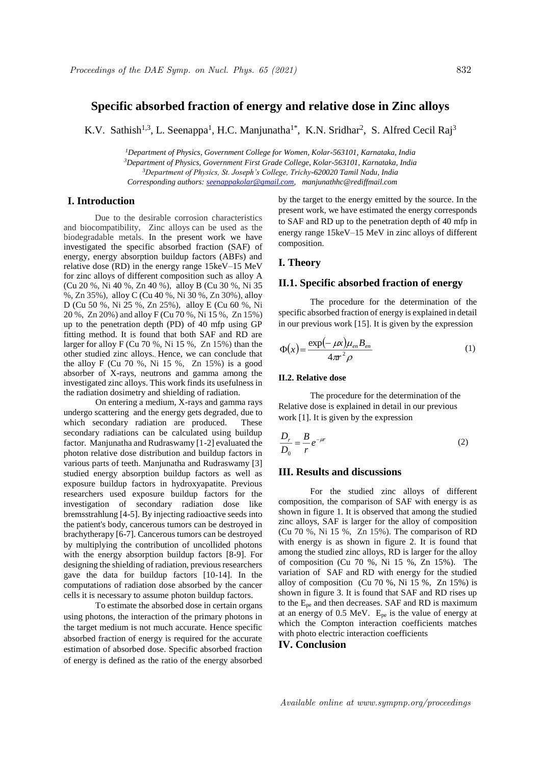# **Specific absorbed fraction of energy and relative dose in Zinc alloys**

K.V. Sathish<sup>1,3</sup>, L. Seenappa<sup>1</sup>, H.C. Manjunatha<sup>1\*</sup>, K.N. Sridhar<sup>2</sup>, S. Alfred Cecil Raj<sup>3</sup>

*Department of Physics, Government College for Women, Kolar-563101, Karnataka, India Department of Physics, Government First Grade College, Kolar-563101, Karnataka, India Department of Physics, St. Joseph's College, Trichy-620020 Tamil Nadu, India Corresponding authors: seenappakolar@gmail.com, manjunathhc@rediffmail.com*

# **I. Introduction**

Due to the desirable corrosion characteristics and biocompatibility, Zinc alloys can be used as the biodegradable metals. In the present work we have investigated the specific absorbed fraction (SAF) of energy, energy absorption buildup factors (ABFs) and relative dose (RD) in the energy range 15keV–15 MeV for zinc alloys of different composition such as alloy A (Cu 20 %, Ni 40 %, Zn 40 %), alloy B (Cu 30 %, Ni 35 %, Zn 35%), alloy C (Cu 40 %, Ni 30 %, Zn 30%), alloy D (Cu 50 %, Ni 25 %, Zn 25%), alloy E (Cu 60 %, Ni 20 %, Zn 20%) and alloy F (Cu 70 %, Ni 15 %, Zn 15%) up to the penetration depth (PD) of 40 mfp using GP fitting method. It is found that both SAF and RD are larger for alloy F (Cu 70 %, Ni 15 %, Zn 15%) than the other studied zinc alloys.. Hence, we can conclude that the alloy F (Cu 70 %, Ni 15 %, Zn  $15\%$ ) is a good absorber of X-rays, neutrons and gamma among the investigated zinc alloys. This work finds its usefulness in the radiation dosimetry and shielding of radiation.

On entering a medium, X-rays and gamma rays undergo scattering and the energy gets degraded, due to which secondary radiation are produced. These secondary radiations can be calculated using buildup factor. Manjunatha and Rudraswamy [1-2] evaluated the photon relative dose distribution and buildup factors in various parts of teeth. Manjunatha and Rudraswamy [3] studied energy absorption buildup factors as well as exposure buildup factors in hydroxyapatite. Previous researchers used exposure buildup factors for the investigation of secondary radiation dose like bremsstrahlung [4-5]. By injecting radioactive seeds into the patient's body, cancerous tumors can be destroyed in brachytherapy [6-7]. Cancerous tumors can be destroyed by multiplying the contribution of uncollided photons with the energy absorption buildup factors [8-9]. For designing the shielding of radiation, previous researchers gave the data for buildup factors [10-14]. In the computations of radiation dose absorbed by the cancer cells it is necessary to assume photon buildup factors.

To estimate the absorbed dose in certain organs using photons, the interaction of the primary photons in the target medium is not much accurate. Hence specific absorbed fraction of energy is required for the accurate estimation of absorbed dose. Specific absorbed fraction of energy is defined as the ratio of the energy absorbed by the target to the energy emitted by the source. In the present work, we have estimated the energy corresponds to SAF and RD up to the penetration depth of 40 mfp in energy range 15keV–15 MeV in zinc alloys of different composition.

### **I. Theory**

### **II.1. Specific absorbed fraction of energy**

The procedure for the determination of the specific absorbed fraction of energy is explained in detail in our previous work [15]. It is given by the expression

$$
\Phi(x) = \frac{\exp(-\mu x)\mu_{en}B_{en}}{4\pi r^2 \rho} \tag{1}
$$

#### **II.2. Relative dose**

The procedure for the determination of the Relative dose is explained in detail in our previous work [1]. It is given by the expression

$$
\frac{D_r}{D_0} = \frac{B}{r} e^{-\mu r} \tag{2}
$$

### **III. Results and discussions**

For the studied zinc alloys of different composition, the comparison of SAF with energy is as shown in figure 1. It is observed that among the studied zinc alloys, SAF is larger for the alloy of composition (Cu 70 %, Ni 15 %, Zn 15%). The comparison of RD with energy is as shown in figure 2. It is found that among the studied zinc alloys, RD is larger for the alloy of composition (Cu 70 %, Ni 15 %, Zn 15%). The variation of SAF and RD with energy for the studied alloy of composition (Cu 70 %, Ni 15 %, Zn 15%) is shown in figure 3. It is found that SAF and RD rises up to the Epe and then decreases. SAF and RD is maximum at an energy of 0.5 MeV. Epe is the value of energy at which the Compton interaction coefficients matches with photo electric interaction coefficients

#### **IV. Conclusion**